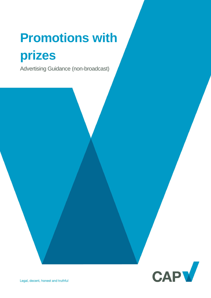# **Promotions with prizes**

Advertising Guidance (non-broadcast)

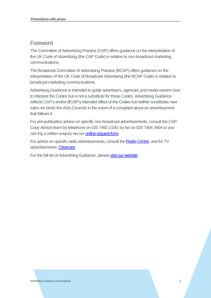## Foreword

The Committee of Advertising Practice (CAP) offers guidance on the interpretation of the UK Code of Advertising (the CAP Code) in relation to non-broadcast marketing communications.

The Broadcast Committee of Advertising Practice (BCAP) offers guidance on the interpretation of the UK Code of Broadcast Advertising (the BCAP Code) in relation to broadcast marketing communications.

Advertising Guidance is intended to guide advertisers, agencies and media owners how to interpret the Codes but is not a substitute for those Codes. Advertising Guidance reflects CAP's and/or BCAP's intended effect of the Codes but neither constitutes new rules nor binds the ASA Councils in the event of a complaint about an advertisement that follows it.

For pre-publication advice on specific non-broadcast advertisements, consult the CAP Copy Advice team by telephone on 020 7492 2100, by fax on 020 7404 3404 or you can log a written enquiry via our [online request form.](http://www.cap.org.uk/Advice-Training-on-the-rules/Bespoke-Copy-Advice.aspx)

For advice on specific radio advertisements, consult th[e Radio Centre,](http://www.racc.co.uk/) and for TV advertisements, [Clearcast.](http://www.clearcast.co.uk/)

For the full list of Advertising Guidance, please [visit our website.](http://www.cap.org.uk/Advice-Training-on-the-rules/Help-Notes.aspx)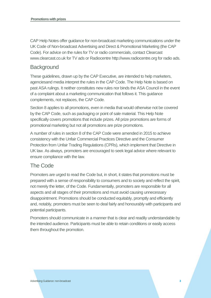CAP Help Notes offer guidance for non-broadcast marketing communications under the UK Code of Non-broadcast Advertising and Direct & Promotional Marketing (the CAP Code). For advice on the rules for TV or radio commercials, contact Clearcast www.clearcast.co.uk for TV ads or Radiocentre http://www.radiocentre.org for radio ads.

### **Background**

These guidelines, drawn up by the CAP Executive, are intended to help marketers, agenciesand media interpret the rules in the CAP Code. The Help Note is based on past ASA rulings. It neither constitutes new rules nor binds the ASA Council in the event of a complaint about a marketing communication that follows it. This guidance complements, not replaces, the CAP Code.

Section 8 applies to all promotions, even in media that would otherwise not be covered by the CAP Code, such as packaging or point of sale material. This Help Note specifically covers promotions that include prizes. All prize promotions are forms of promotional marketing but not all promotions are prize promotions.

A number of rules in section 8 of the CAP Code were amended in 2015 to achieve consistency with the Unfair Commercial Practices Directive and the Consumer Protection from Unfair Trading Regulations (CPRs), which implement that Directive in UK law. As always, promoters are encouraged to seek legal advice where relevant to ensure compliance with the law.

### The Code

Promoters are urged to read the Code but, in short, it states that promotions must be prepared with a sense of responsibility to consumers and to society and reflect the spirit, not merely the letter, of the Code. Fundamentally, promoters are responsible for all aspects and all stages of their promotions and must avoid causing unnecessary disappointment. Promotions should be conducted equitably, promptly and efficiently and, notably, promoters must be seen to deal fairly and honourably with participants and potential participants.

Promoters should communicate in a manner that is clear and readily understandable by the intended audience. Participants must be able to retain conditions or easily access them throughout the promotion.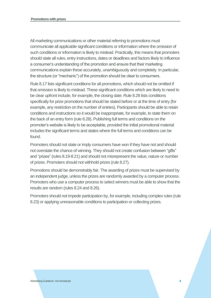All marketing communications or other material referring to promotions must communicate all applicable significant conditions or information where the omission of such conditions or information is likely to mislead. Practically, this means that promoters should state all rules, entry instructions, dates or deadlines and factors likely to influence a consumer's understanding of the promotion and ensure that their marketing communications explain these accurately, unambiguously and completely. In particular, the structure (or "mechanic") of the promotion should be clear to consumers.

Rule 8.17 lists significant conditions for all promotions, which should not be omitted if that omission is likely to mislead. These significant conditions which are likely to need to be clear upfront include, for example, the closing date. Rule 8.28 lists conditions specifically for prize promotions that should be stated before or at the time of entry (for example, any restriction on the number of entries). Participants should be able to retain conditions and instructions so it would be inappropriate, for example, to state them on the back of an entry form (rule 8.28). Publishing full terms and conditions on the promoter's website is likely to be acceptable, provided the initial promotional material includes the significant terms and states where the full terms and conditions can be found.

Promoters should not state or imply consumers have won if they have not and should not overstate the chance of winning. They should not create confusion between "gifts" and "prizes" (rules 8.19-8.21) and should not misrepresent the value, nature or number of prizes. Promoters should not withhold prizes (rule 8.27).

Promotions should be demonstrably fair. The awarding of prizes must be supervised by an independent judge, unless the prizes are randomly awarded by a computer process. Promoters who use a computer process to select winners must be able to show that the results are random (rules 8.24 and 8.26).

Promoters should not impede participation by, for example, including complex rules (rule 8.23) or applying unreasonable conditions to participation or collecting prizes.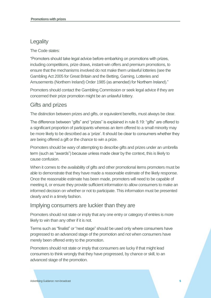## **Legality**

The Code states:

"Promoters should take legal advice before embarking on promotions with prizes, including competitions, prize draws, instant-win offers and premium promotions, to ensure that the mechanisms involved do not make them unlawful lotteries (see the Gambling Act 2005 for Great Britain and the Betting, Gaming, Lotteries and Amusements (Northern Ireland) Order 1985 (as amended) for Northern Ireland)."

Promoters should contact the Gambling Commission or seek legal advice if they are concerned their prize promotion might be an unlawful lottery.

## Gifts and prizes

The distinction between prizes and gifts, or equivalent benefits, must always be clear.

The difference between "gifts" and "prizes" is explained in rule 8.19: "gifts" are offered to a significant proportion of participants whereas an item offered to a small minority may be more likely to be described as a 'prize'. It should be clear to consumers whether they are being offered a gift or the chance to win a prize.

Promoters should be wary of attempting to describe gifts and prizes under an umbrella term (such as "awards") because unless made clear by the context, this is likely to cause confusion.

When it comes to the availability of gifts and other promotional items promoters must be able to demonstrate that they have made a reasonable estimate of the likely response. Once the reasonable estimate has been made, promoters will need to be capable of meeting it, or ensure they provide sufficient information to allow consumers to make an informed decision on whether or not to participate. This information must be presented clearly and in a timely fashion.

### Implying consumers are luckier than they are

Promoters should not state or imply that any one entry or category of entries is more likely to win than any other if it is not.

Terms such as "finalist" or "next stage" should be used only where consumers have progressed to an advanced stage of the promotion and not when consumers have merely been offered entry to the promotion.

Promoters should not state or imply that consumers are lucky if that might lead consumers to think wrongly that they have progressed, by chance or skill, to an advanced stage of the promotion.

Advertising Guidance: non-broadcast **5**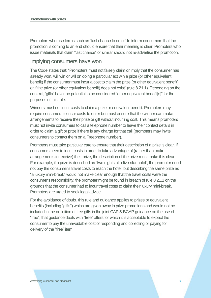Promoters who use terms such as "last chance to enter" to inform consumers that the promotion is coming to an end should ensure that their meaning is clear. Promoters who issue materials that claim "last chance" or similar should not re-advertise the promotion.

#### Implying consumers have won

The Code states that: "Promoters must not falsely claim or imply that the consumer has already won, will win or will on doing a particular act win a prize (or other equivalent benefit) if the consumer must incur a cost to claim the prize (or other equivalent benefit) or if the prize (or other equivalent benefit) does not exist" (rule 8.21.1). Depending on the context, "gifts" have the potential to be considered "other equivalent benefit[s]" for the purposes of this rule.

Winners must not incur costs to claim a prize or equivalent benefit. Promoters may require consumers to incur costs to enter but must ensure that the winner can make arrangements to receive their prize or gift without incurring cost. This means promoters must not invite consumers to call a telephone number to leave their contact details in order to claim a gift or prize if there is any charge for that call (promoters may invite consumers to contact them on a Freephone number).

Promoters must take particular care to ensure that their description of a prize is clear. If consumers need to incur costs in order to take advantage of (rather than make arrangements to receive) their prize, the description of the prize must make this clear. For example, if a prize is described as "two nights at a five-star hotel", the promoter need not pay the consumer's travel costs to reach the hotel, but describing the same prize as "a luxury mini-break" would not make clear enough that the travel costs were the consumer's responsibility: the promoter might be found in breach of rule 8.21.1 on the grounds that the consumer had to incur travel costs to claim their luxury mini-break. Promoters are urged to seek legal advice.

For the avoidance of doubt, this rule and guidance applies to prizes or equivalent benefits (including "gifts") which are given away in prize promotions and would not be included in the definition of free gifts in the joint CAP & BCAP guidance on the use of "free"; that guidance deals with "free" offers for which it is acceptable to expect the consumer to pay the unavoidable cost of responding and collecting or paying for delivery of the "free" item.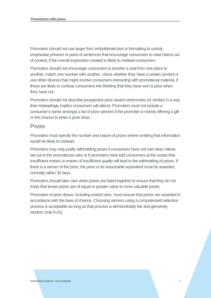Promoters should not use larger font, emboldened text or formatting to unduly emphasise phrases or parts of sentences that encourage consumers to read claims out of context, if the overall impression created is likely to mislead consumers.

Promoters should not encourage consumers to transfer a seal from one place to another, match one number with another, check whether they have a certain symbol or use other devices that might involve consumers interacting with promotional material, if those are likely to confuse consumers into thinking that they have won a prize when they have not.

Promoters should not describe prospective prize award ceremonies (or similar) in a way that misleadingly implies consumers will attend. Promoters must not include a consumer's name amongst a list of prize winners if the promoter is merely offering a gift or the chance to enter a prize draw.

#### Prizes

Promoters must specify the number and nature of prizes where omitting that information would be likely to mislead.

Promoters may only justify withholding prizes if consumers have not met clear criteria set out in the promotional rules or if promoters have told consumers at the outset that insufficient entries or entries of insufficient quality will lead to the withholding of prizes. If there is a winner of the prize, the prize or its reasonable equivalent must be awarded, normally within 30 days.

Promoters should take care when prizes are listed together to ensure that they do not imply that lesser prizes are of equal or greater value to more valuable prizes.

Promoters of prize draws, including instant wins, must ensure that prizes are awarded in accordance with the laws of chance. Choosing winners using a computerised selection process is acceptable as long as that process is demonstrably fair and genuinely random (rule 8.24).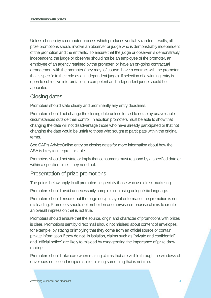Unless chosen by a computer process which produces verifiably random results, all prize promotions should involve an observer or judge who is demonstrably independent of the promotion and the entrants. To ensure that the judge or observer is demonstrably independent, the judge or observer should not be an employee of the promoter, an employee of an agency retained by the promoter, or have an on-going contractual arrangement with the promoter (they may, of course, have a contract with the promoter that is specific to their role as an independent judge). If selection of a winning entry is open to subjective interpretation, a competent and independent judge should be appointed.

## Closing dates

Promoters should state clearly and prominently any entry deadlines.

Promoters should not change the closing date unless forced to do so by unavoidable circumstances outside their control. In addition promoters must be able to show that changing the date will not disadvantage those who have already participated or that not changing the date would be unfair to those who sought to participate within the original terms.

See CAP's AdviceOnline entry on closing dates for more information about how the ASA is likely to interpret this rule.

Promoters should not state or imply that consumers must respond by a specified date or within a specified time if they need not.

### Presentation of prize promotions

The points below apply to all promoters, especially those who use direct marketing.

Promoters should avoid unnecessarily complex, confusing or legalistic language.

Promoters should ensure that the page design, layout or format of the promotion is not misleading. Promoters should not embolden or otherwise emphasise claims to create an overall impression that is not true.

Promoters should ensure that the source, origin and character of promotions with prizes is clear. Promotions sent by direct mail should not mislead about content of envelopes, for example, by stating or implying that they come from an official source or contain private information if they do not. In isolation, claims such as "private and confidential" and "official notice" are likely to mislead by exaggerating the importance of prize draw mailings.

Promoters should take care when making claims that are visible through the windows of envelopes not to lead recipients into thinking something that is not true.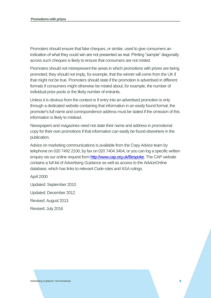Promoters should ensure that fake cheques, or similar, used to give consumers an indication of what they could win are not presented as real. Printing "sample" diagonally across such cheques is likely to ensure that consumers are not misled.

Promoters should not misrepresent the areas in which promotions with prizes are being promoted; they should not imply, for example, that the winner will come from the UK if that might not be true. Promoters should state if the promotion is advertised in different formats if consumers might otherwise be misled about, for example, the number of individual prize pools or the likely number of entrants.

Unless it is obvious from the context or if entry into an advertised promotion is only through a dedicated website containing that information in an easily found format, the promoter's full name and correspondence address must be stated if the omission of this information is likely to mislead.

Newspapers and magazines need not state their name and address in promotional copy for their own promotions if that information can easily be found elsewhere in the publication.

Advice on marketing communications is available from the Copy Advice team by telephone on 020 7492 2100, by fax on 020 7404 3404, or you can log a specific written enquiry via our online request form [http://www.cap.org.uk/Bespoke.](http://www.cap.org.uk/Bespoke) The CAP website contains a full list of Advertising Guidance as well as access to the AdviceOnline database, which has links to relevant Code rules and ASA rulings.

April 2000

Updated: September 2010 Updated: December 2012 Revised: August 2013 Revised: July 2016